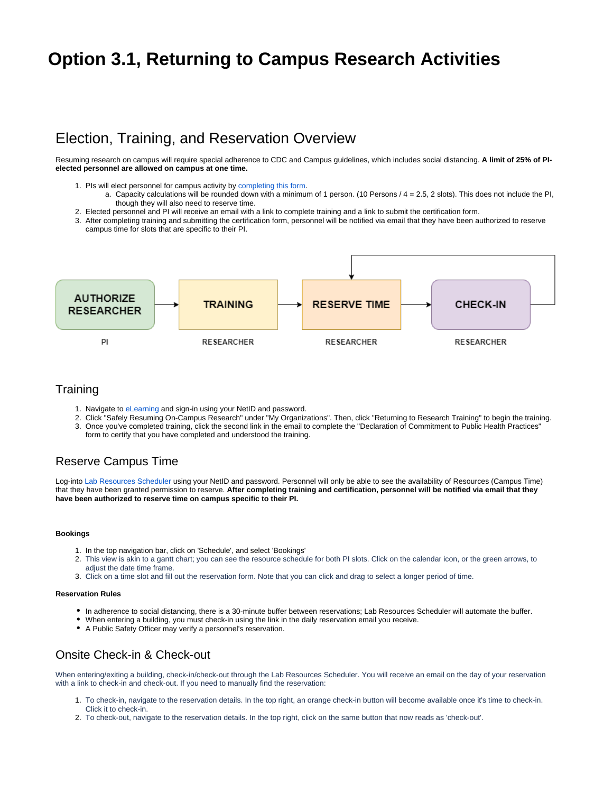# **Option 3.1, Returning to Campus Research Activities**

### Election, Training, and Reservation Overview

Resuming research on campus will require special adherence to CDC and Campus guidelines, which includes social distancing. **A limit of 25% of PIelected personnel are allowed on campus at one time.** 

- 1. PIs will elect personnel for campus activity by [completing this form](https://redcap.utdallas.edu/surveys/?s=FHWNJC7HLE). a. Capacity calculations will be rounded down with a minimum of 1 person. (10 Persons / 4 = 2.5, 2 slots). This does not include the PI, though they will also need to reserve time.
- 2. Elected personnel and PI will receive an email with a link to complete training and a link to submit the certification form.
- 3. After completing training and submitting the certification form, personnel will be notified via email that they have been authorized to reserve campus time for slots that are specific to their PI.



### **Training**

- 1. Navigate to [eLearning](https://elearning.utdallas.edu/) and sign-in using your NetID and password.
- 2. Click "Safely Resuming On-Campus Research" under "My Organizations". Then, click "Returning to Research Training" to begin the training. 3. Once you've completed training, click the second link in the email to complete the "Declaration of Commitment to Public Health Practices" form to certify that you have completed and understood the training.

### Reserve Campus Time

Log-into [Lab Resources Scheduler](https://labresources.utdallas.edu) using your NetID and password. Personnel will only be able to see the availability of Resources (Campus Time) that they have been granted permission to reserve. **After completing training and certification, personnel will be notified via email that they have been authorized to reserve time on campus specific to their PI.** 

### **Bookings**

ത

- 1. In the top navigation bar, click on 'Schedule', and select 'Bookings'
- 2. This view is akin to a gantt chart; you can see the resource schedule for both PI slots. Click on the calendar icon, or the green arrows, to adiust the date time frame.
- 3. Click on a time slot and fill out the reservation form. Note that you can click and drag to select a longer period of time.

#### **Reservation Rules**

- In adherence to social distancing, there is a 30-minute buffer between reservations; Lab Resources Scheduler will automate the buffer.
- When entering a building, you must check-in using the link in the daily reservation email you receive.
- A Public Safety Officer may verify a personnel's reservation.

### Onsite Check-in & Check-out

When entering/exiting a building, check-in/check-out through the Lab Resources Scheduler. You will receive an email on the day of your reservation with a link to check-in and check-out. If you need to manually find the reservation:

- 1. To check-in, navigate to the reservation details. In the top right, an orange check-in button will become available once it's time to check-in. Click it to check-in.
- 2. To check-out, navigate to the reservation details. In the top right, click on the same button that now reads as 'check-out'.